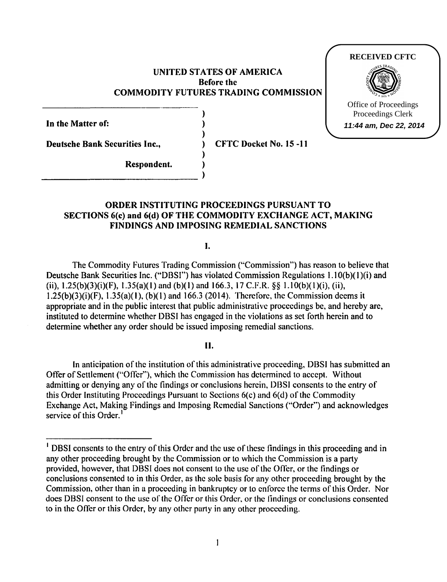## UNITED STATES OF AMERICA Before the COMMODITY FUTURES TRADING COMMISSION

) ) )

)

In the Matter of:

Deutsche Bank Securities Inc., The CFTC Docket No. 15 -11

## Respondent.

# ORDER INSTITUTING PROCEEDINGS PURSUANT TO SECTIONS 6(c) and 6(d) OF THE COMMODITY EXCHANGE ACT, MAKING FINDINGS AND IMPOSING REMEDIAL SANCTIONS

I.

The Commodity Futures Trading Commission ("Commission") has reason to believe that Deutsche Bank Securities Inc. ("DBSI") has violated Commission Regulations 1.10(b)(1)(i) and (ii),  $1.25(b)(3)(i)(F)$ ,  $1.35(a)(1)$  and (b)(1) and 166.3, 17 C.F.R. §§ 1.10(b)(1)(i), (ii),  $1.25(b)(3)(i)(F)$ ,  $1.35(a)(1)$ ,  $(b)(1)$  and 166.3 (2014). Therefore, the Commission deems it appropriate and in the public interest that public administrative proceedings be, and hereby are, instituted to determine whether DBSI has engaged in the violations as set forth herein and to determine whether any order should be issued imposing remedial sanctions.

## II.

In anticipation of the institution of this administrative proceeding, DBSI has submitted an Offer of Settlement ("Offer"), which the Commission has determined to accept. Without admitting or denying any of the findings or conclusions herein, DBSJ consents to the entry of this Order Instituting Proceedings Pursuant to Sections 6(c) and 6(d) of the Commodity Exchange Act, Making Findings and Imposing Remedial Sanctions ("Order") and acknowledges service of this Order.<sup>1</sup>

# **RECEIVED CFTC**



Office of Proceedings Proceedings Clerk **11:44 am, Dec 22, 2014**

<sup>&</sup>lt;sup>1</sup> DBSI consents to the entry of this Order and the use of these findings in this proceeding and in any other proceeding brought by the Commission or to which the Commission is a party provided, however, that DBSI does not consent to the use of the Offer, or the findings or conclusions consented to in this Order, as the sole basis for any other proceeding brought by the Commission, other than in a proceeding in bankruptcy or to enforce the terms of this Order. Nor does DBSI consent to the use of the Offer or this Order. or the findings or conclusions consented to in the Offer or this Order, by any other party in any other proceeding.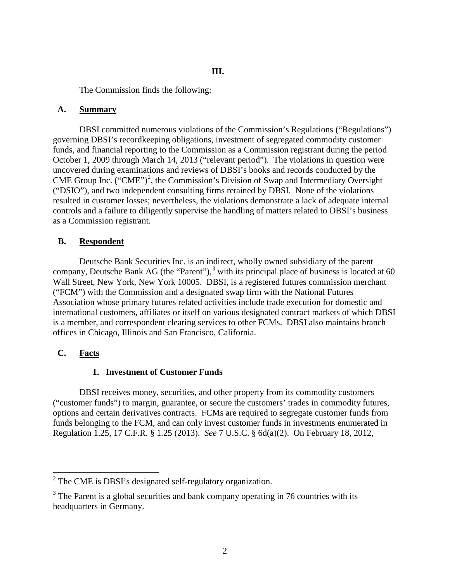The Commission finds the following:

### **A. Summary**

DBSI committed numerous violations of the Commission's Regulations ("Regulations") governing DBSI's recordkeeping obligations, investment of segregated commodity customer funds, and financial reporting to the Commission as a Commission registrant during the period October 1, 2009 through March 14, 2013 ("relevant period"). The violations in question were uncovered during examinations and reviews of DBSI's books and records conducted by the CME Group Inc. ("CME")<sup>[2](#page-1-0)</sup>, the Commission's Division of Swap and Intermediary Oversight ("DSIO"), and two independent consulting firms retained by DBSI. None of the violations resulted in customer losses; nevertheless, the violations demonstrate a lack of adequate internal controls and a failure to diligently supervise the handling of matters related to DBSI's business as a Commission registrant.

## **B. Respondent**

Deutsche Bank Securities Inc. is an indirect, wholly owned subsidiary of the parent company, Deutsche Bank AG (the "Parent"), $3$  with its principal place of business is located at 60 Wall Street, New York, New York 10005. DBSI, is a registered futures commission merchant ("FCM") with the Commission and a designated swap firm with the National Futures Association whose primary futures related activities include trade execution for domestic and international customers, affiliates or itself on various designated contract markets of which DBSI is a member, and correspondent clearing services to other FCMs. DBSI also maintains branch offices in Chicago, Illinois and San Francisco, California.

# **C. Facts**

# **1. Investment of Customer Funds**

DBSI receives money, securities, and other property from its commodity customers ("customer funds") to margin, guarantee, or secure the customers' trades in commodity futures, options and certain derivatives contracts. FCMs are required to segregate customer funds from funds belonging to the FCM, and can only invest customer funds in investments enumerated in Regulation 1.25, 17 C.F.R. § 1.25 (2013). *See* 7 U.S.C. § 6d(a)(2). On February 18, 2012,

<span id="page-1-0"></span><sup>&</sup>lt;sup>2</sup> The CME is DBSI's designated self-regulatory organization.

<span id="page-1-1"></span> $3$  The Parent is a global securities and bank company operating in 76 countries with its headquarters in Germany.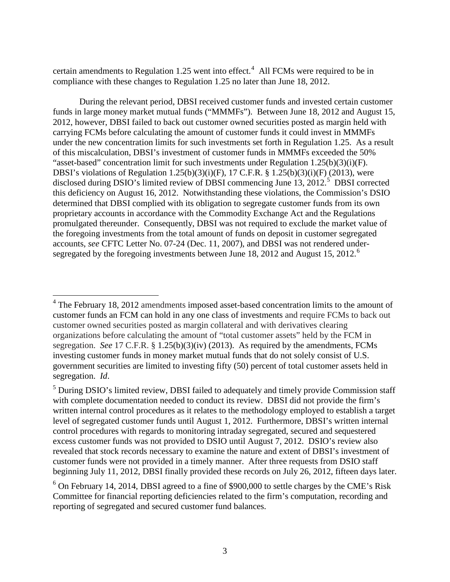certain amendments to Regulation 1.25 went into effect.<sup>[4](#page-2-0)</sup> All FCMs were required to be in compliance with these changes to Regulation 1.25 no later than June 18, 2012.

During the relevant period, DBSI received customer funds and invested certain customer funds in large money market mutual funds ("MMMFs"). Between June 18, 2012 and August 15, 2012, however, DBSI failed to back out customer owned securities posted as margin held with carrying FCMs before calculating the amount of customer funds it could invest in MMMFs under the new concentration limits for such investments set forth in Regulation 1.25. As a result of this miscalculation, DBSI's investment of customer funds in MMMFs exceeded the 50% "asset-based" concentration limit for such investments under Regulation 1.25(b)(3)(i)(F). DBSI's violations of Regulation 1.25(b)(3)(i)(F), 17 C.F.R. § 1.25(b)(3)(i)(F) (2013), were disclosed during DSIO's limited review of DBSI commencing June  $13$ ,  $2012$ <sup>[5](#page-2-1)</sup> DBSI corrected this deficiency on August 16, 2012. Notwithstanding these violations, the Commission's DSIO determined that DBSI complied with its obligation to segregate customer funds from its own proprietary accounts in accordance with the Commodity Exchange Act and the Regulations promulgated thereunder. Consequently, DBSI was not required to exclude the market value of the foregoing investments from the total amount of funds on deposit in customer segregated accounts, *see* CFTC Letter No. 07-24 (Dec. 11, 2007), and DBSI was not rendered under-segregated by the foregoing investments between June 18, 2012 and August 15, 2012.<sup>[6](#page-2-2)</sup>

<span id="page-2-0"></span> $4$  The February 18, 2012 amendments imposed asset-based concentration limits to the amount of customer funds an FCM can hold in any one class of investments and require FCMs to back out customer owned securities posted as margin collateral and with derivatives clearing organizations before calculating the amount of "total customer assets" held by the FCM in segregation. *See* 17 C.F.R. § 1.25(b)(3)(iv) (2013). As required by the amendments, FCMs investing customer funds in money market mutual funds that do not solely consist of U.S. government securities are limited to investing fifty (50) percent of total customer assets held in segregation. *Id*.

<span id="page-2-1"></span><sup>&</sup>lt;sup>5</sup> During DSIO's limited review, DBSI failed to adequately and timely provide Commission staff with complete documentation needed to conduct its review. DBSI did not provide the firm's written internal control procedures as it relates to the methodology employed to establish a target level of segregated customer funds until August 1, 2012. Furthermore, DBSI's written internal control procedures with regards to monitoring intraday segregated, secured and sequestered excess customer funds was not provided to DSIO until August 7, 2012. DSIO's review also revealed that stock records necessary to examine the nature and extent of DBSI's investment of customer funds were not provided in a timely manner. After three requests from DSIO staff beginning July 11, 2012, DBSI finally provided these records on July 26, 2012, fifteen days later.

<span id="page-2-2"></span> $6$  On February 14, 2014, DBSI agreed to a fine of \$900,000 to settle charges by the CME's Risk Committee for financial reporting deficiencies related to the firm's computation, recording and reporting of segregated and secured customer fund balances.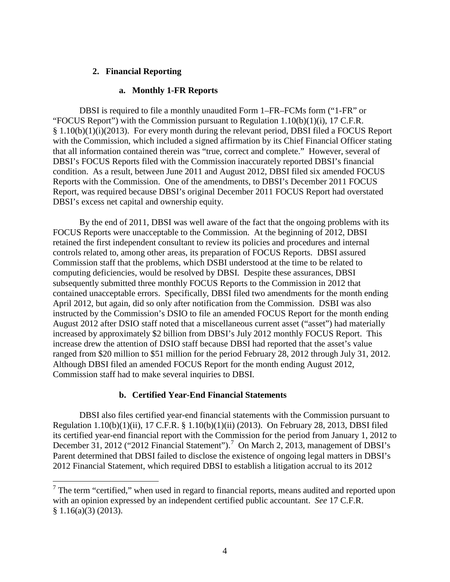## **2. Financial Reporting**

## **a. Monthly 1-FR Reports**

DBSI is required to file a monthly unaudited Form 1–FR–FCMs form ("1-FR" or "FOCUS Report") with the Commission pursuant to Regulation  $1.10(b)(1)(i)$ , 17 C.F.R. § 1.10(b)(1)(i)(2013). For every month during the relevant period, DBSI filed a FOCUS Report with the Commission, which included a signed affirmation by its Chief Financial Officer stating that all information contained therein was "true, correct and complete." However, several of DBSI's FOCUS Reports filed with the Commission inaccurately reported DBSI's financial condition. As a result, between June 2011 and August 2012, DBSI filed six amended FOCUS Reports with the Commission. One of the amendments, to DBSI's December 2011 FOCUS Report, was required because DBSI's original December 2011 FOCUS Report had overstated DBSI's excess net capital and ownership equity.

By the end of 2011, DBSI was well aware of the fact that the ongoing problems with its FOCUS Reports were unacceptable to the Commission. At the beginning of 2012, DBSI retained the first independent consultant to review its policies and procedures and internal controls related to, among other areas, its preparation of FOCUS Reports. DBSI assured Commission staff that the problems, which DSBI understood at the time to be related to computing deficiencies, would be resolved by DBSI. Despite these assurances, DBSI subsequently submitted three monthly FOCUS Reports to the Commission in 2012 that contained unacceptable errors. Specifically, DBSI filed two amendments for the month ending April 2012, but again, did so only after notification from the Commission. DSBI was also instructed by the Commission's DSIO to file an amended FOCUS Report for the month ending August 2012 after DSIO staff noted that a miscellaneous current asset ("asset") had materially increased by approximately \$2 billion from DBSI's July 2012 monthly FOCUS Report. This increase drew the attention of DSIO staff because DBSI had reported that the asset's value ranged from \$20 million to \$51 million for the period February 28, 2012 through July 31, 2012. Although DBSI filed an amended FOCUS Report for the month ending August 2012, Commission staff had to make several inquiries to DBSI.

## **b. Certified Year-End Financial Statements**

DBSI also files certified year-end financial statements with the Commission pursuant to Regulation 1.10(b)(1)(ii), 17 C.F.R. § 1.10(b)(1)(ii) (2013). On February 28, 2013, DBSI filed its certified year-end financial report with the Commission for the period from January 1, 2012 to December 31, 2012 ("2012 Financial Statement").<sup>[7](#page-3-0)</sup> On March 2, 2013, management of DBSI's Parent determined that DBSI failed to disclose the existence of ongoing legal matters in DBSI's 2012 Financial Statement, which required DBSI to establish a litigation accrual to its 2012

<span id="page-3-0"></span> $<sup>7</sup>$  The term "certified," when used in regard to financial reports, means audited and reported upon</sup> with an opinion expressed by an independent certified public accountant. *See* 17 C.F.R. § 1.16(a)(3) (2013).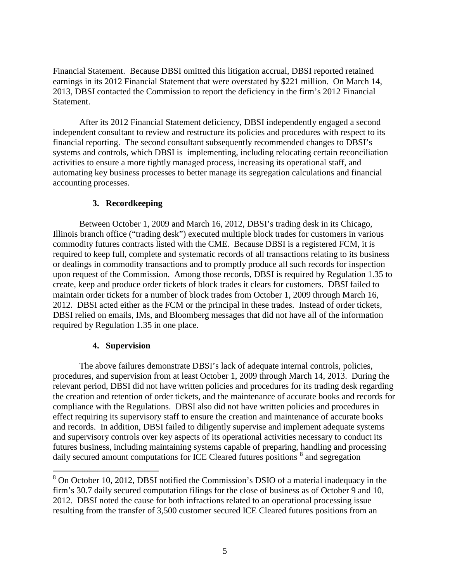Financial Statement. Because DBSI omitted this litigation accrual, DBSI reported retained earnings in its 2012 Financial Statement that were overstated by \$221 million. On March 14, 2013, DBSI contacted the Commission to report the deficiency in the firm's 2012 Financial Statement.

After its 2012 Financial Statement deficiency, DBSI independently engaged a second independent consultant to review and restructure its policies and procedures with respect to its financial reporting. The second consultant subsequently recommended changes to DBSI's systems and controls, which DBSI is implementing, including relocating certain reconciliation activities to ensure a more tightly managed process, increasing its operational staff, and automating key business processes to better manage its segregation calculations and financial accounting processes.

### **3. Recordkeeping**

Between October 1, 2009 and March 16, 2012, DBSI's trading desk in its Chicago, Illinois branch office ("trading desk") executed multiple block trades for customers in various commodity futures contracts listed with the CME. Because DBSI is a registered FCM, it is required to keep full, complete and systematic records of all transactions relating to its business or dealings in commodity transactions and to promptly produce all such records for inspection upon request of the Commission. Among those records, DBSI is required by Regulation 1.35 to create, keep and produce order tickets of block trades it clears for customers. DBSI failed to maintain order tickets for a number of block trades from October 1, 2009 through March 16, 2012. DBSI acted either as the FCM or the principal in these trades. Instead of order tickets, DBSI relied on emails, IMs, and Bloomberg messages that did not have all of the information required by Regulation 1.35 in one place.

## **4. Supervision**

The above failures demonstrate DBSI's lack of adequate internal controls, policies, procedures, and supervision from at least October 1, 2009 through March 14, 2013. During the relevant period, DBSI did not have written policies and procedures for its trading desk regarding the creation and retention of order tickets, and the maintenance of accurate books and records for compliance with the Regulations. DBSI also did not have written policies and procedures in effect requiring its supervisory staff to ensure the creation and maintenance of accurate books and records. In addition, DBSI failed to diligently supervise and implement adequate systems and supervisory controls over key aspects of its operational activities necessary to conduct its futures business, including maintaining systems capable of preparing, handling and processing daily secured amount computations for ICE Cleared futures positions  $\frac{8}{3}$  $\frac{8}{3}$  $\frac{8}{3}$  and segregation

<span id="page-4-0"></span> <sup>8</sup> On October 10, 2012, DBSI notified the Commission's DSIO of a material inadequacy in the firm's 30.7 daily secured computation filings for the close of business as of October 9 and 10, 2012. DBSI noted the cause for both infractions related to an operational processing issue resulting from the transfer of 3,500 customer secured ICE Cleared futures positions from an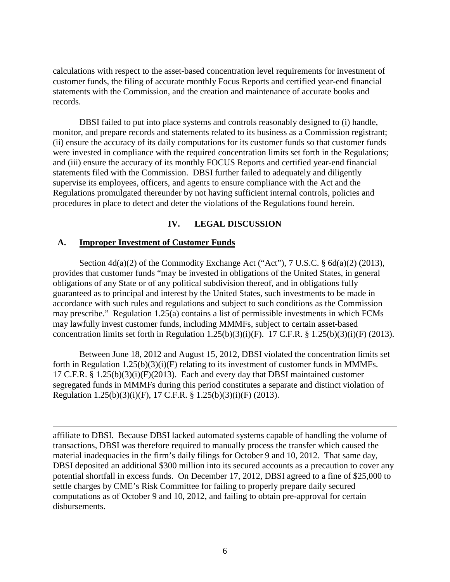calculations with respect to the asset-based concentration level requirements for investment of customer funds, the filing of accurate monthly Focus Reports and certified year-end financial statements with the Commission, and the creation and maintenance of accurate books and records.

DBSI failed to put into place systems and controls reasonably designed to (i) handle, monitor, and prepare records and statements related to its business as a Commission registrant; (ii) ensure the accuracy of its daily computations for its customer funds so that customer funds were invested in compliance with the required concentration limits set forth in the Regulations; and (iii) ensure the accuracy of its monthly FOCUS Reports and certified year-end financial statements filed with the Commission. DBSI further failed to adequately and diligently supervise its employees, officers, and agents to ensure compliance with the Act and the Regulations promulgated thereunder by not having sufficient internal controls, policies and procedures in place to detect and deter the violations of the Regulations found herein.

### **IV. LEGAL DISCUSSION**

#### **A. Improper Investment of Customer Funds**

 $\overline{a}$ 

Section 4d(a)(2) of the Commodity Exchange Act ("Act"), 7 U.S.C. § 6d(a)(2) (2013), provides that customer funds "may be invested in obligations of the United States, in general obligations of any State or of any political subdivision thereof, and in obligations fully guaranteed as to principal and interest by the United States, such investments to be made in accordance with such rules and regulations and subject to such conditions as the Commission may prescribe." Regulation 1.25(a) contains a list of permissible investments in which FCMs may lawfully invest customer funds, including MMMFs, subject to certain asset-based concentration limits set forth in Regulation  $1.25(b)(3)(i)(F)$ . 17 C.F.R. §  $1.25(b)(3)(i)(F)$  (2013).

Between June 18, 2012 and August 15, 2012, DBSI violated the concentration limits set forth in Regulation  $1.25(b)(3)(i)(F)$  relating to its investment of customer funds in MMMFs. 17 C.F.R. § 1.25(b)(3)(i)(F)(2013). Each and every day that DBSI maintained customer segregated funds in MMMFs during this period constitutes a separate and distinct violation of Regulation 1.25(b)(3)(i)(F), 17 C.F.R. § 1.25(b)(3)(i)(F) (2013).

affiliate to DBSI. Because DBSI lacked automated systems capable of handling the volume of transactions, DBSI was therefore required to manually process the transfer which caused the material inadequacies in the firm's daily filings for October 9 and 10, 2012. That same day, DBSI deposited an additional \$300 million into its secured accounts as a precaution to cover any potential shortfall in excess funds. On December 17, 2012, DBSI agreed to a fine of \$25,000 to settle charges by CME's Risk Committee for failing to properly prepare daily secured computations as of October 9 and 10, 2012, and failing to obtain pre-approval for certain disbursements.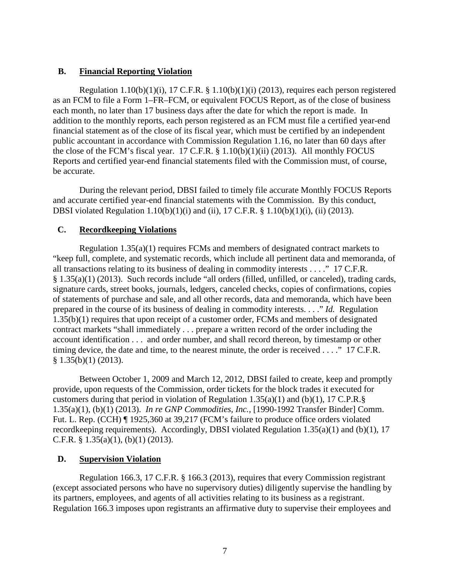## **B. Financial Reporting Violation**

Regulation  $1.10(b)(1)(i)$ , 17 C.F.R. §  $1.10(b)(1)(i)$  (2013), requires each person registered as an FCM to file a Form 1–FR–FCM, or equivalent FOCUS Report, as of the close of business each month, no later than 17 business days after the date for which the report is made. In addition to the monthly reports, each person registered as an FCM must file a certified year-end financial statement as of the close of its fiscal year, which must be certified by an independent public accountant in accordance with Commission Regulation 1.16, no later than 60 days after the close of the FCM's fiscal year. 17 C.F.R. § 1.10(b)(1)(ii) (2013). All monthly FOCUS Reports and certified year-end financial statements filed with the Commission must, of course, be accurate.

During the relevant period, DBSI failed to timely file accurate Monthly FOCUS Reports and accurate certified year-end financial statements with the Commission. By this conduct, DBSI violated Regulation 1.10(b)(1)(i) and (ii), 17 C.F.R. § 1.10(b)(1)(i), (ii) (2013).

## **C. Recordkeeping Violations**

Regulation 1.35(a)(1) requires FCMs and members of designated contract markets to "keep full, complete, and systematic records, which include all pertinent data and memoranda, of all transactions relating to its business of dealing in commodity interests . . . ." 17 C.F.R. § 1.35(a)(1) (2013). Such records include "all orders (filled, unfilled, or canceled), trading cards, signature cards, street books, journals, ledgers, canceled checks, copies of confirmations, copies of statements of purchase and sale, and all other records, data and memoranda, which have been prepared in the course of its business of dealing in commodity interests. . . ." *Id.* Regulation 1.35(b)(1) requires that upon receipt of a customer order, FCMs and members of designated contract markets "shall immediately . . . prepare a written record of the order including the account identification . . . and order number, and shall record thereon, by timestamp or other timing device, the date and time, to the nearest minute, the order is received . . . ." 17 C.F.R.  $§ 1.35(b)(1) (2013).$ 

Between October 1, 2009 and March 12, 2012, DBSI failed to create, keep and promptly provide, upon requests of the Commission, order tickets for the block trades it executed for customers during that period in violation of Regulation 1.35(a)(1) and (b)(1), 17 C.P.R.§ 1.35(a)(1), (b)(1) (2013). *In re GNP Commodities, Inc.,* [1990-1992 Transfer Binder] Comm. Fut. L. Rep. (CCH) ¶ 1925,360 at 39,217 (FCM's failure to produce office orders violated recordkeeping requirements). Accordingly, DBSI violated Regulation 1.35(a)(1) and (b)(1), 17 C.F.R.  $\S$  1.35(a)(1), (b)(1) (2013).

## **D. Supervision Violation**

Regulation 166.3, 17 C.F.R. § 166.3 (2013), requires that every Commission registrant (except associated persons who have no supervisory duties) diligently supervise the handling by its partners, employees, and agents of all activities relating to its business as a registrant. Regulation 166.3 imposes upon registrants an affirmative duty to supervise their employees and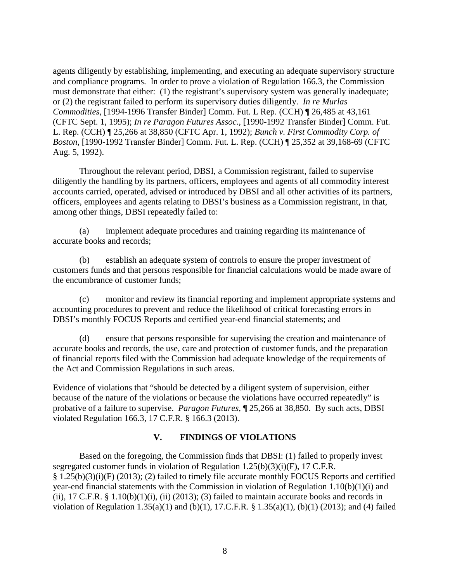agents diligently by establishing, implementing, and executing an adequate supervisory structure and compliance programs. In order to prove a violation of Regulation 166.3, the Commission must demonstrate that either: (1) the registrant's supervisory system was generally inadequate; or (2) the registrant failed to perform its supervisory duties diligently. *In re Murlas Commodities,* [1994-1996 Transfer Binder] Comm. Fut. L Rep. (CCH) ¶ 26,485 at 43,161 (CFTC Sept. 1, 1995); *In re Paragon Futures Assoc.,* [1990-1992 Transfer Binder] Comm. Fut. L. Rep. (CCH) ¶ 25,266 at 38,850 (CFTC Apr. 1, 1992); *Bunch v. First Commodity Corp. of Boston*, [1990-1992 Transfer Binder] Comm. Fut. L. Rep. (CCH) ¶ 25,352 at 39,168-69 (CFTC Aug. 5, 1992).

Throughout the relevant period, DBSI, a Commission registrant, failed to supervise diligently the handling by its partners, officers, employees and agents of all commodity interest accounts carried, operated, advised or introduced by DBSI and all other activities of its partners, officers, employees and agents relating to DBSI's business as a Commission registrant, in that, among other things, DBSI repeatedly failed to:

(a) implement adequate procedures and training regarding its maintenance of accurate books and records;

(b) establish an adequate system of controls to ensure the proper investment of customers funds and that persons responsible for financial calculations would be made aware of the encumbrance of customer funds;

(c) monitor and review its financial reporting and implement appropriate systems and accounting procedures to prevent and reduce the likelihood of critical forecasting errors in DBSI's monthly FOCUS Reports and certified year-end financial statements; and

(d) ensure that persons responsible for supervising the creation and maintenance of accurate books and records, the use, care and protection of customer funds, and the preparation of financial reports filed with the Commission had adequate knowledge of the requirements of the Act and Commission Regulations in such areas.

Evidence of violations that "should be detected by a diligent system of supervision, either because of the nature of the violations or because the violations have occurred repeatedly" is probative of a failure to supervise. *Paragon Futures*, ¶ 25,266 at 38,850. By such acts, DBSI violated Regulation 166.3, 17 C.F.R. § 166.3 (2013).

## **V. FINDINGS OF VIOLATIONS**

Based on the foregoing, the Commission finds that DBSI: (1) failed to properly invest segregated customer funds in violation of Regulation 1.25(b)(3)(i)(F), 17 C.F.R. § 1.25(b)(3)(i)(F) (2013); (2) failed to timely file accurate monthly FOCUS Reports and certified year-end financial statements with the Commission in violation of Regulation 1.10(b)(1)(i) and (ii), 17 C.F.R. § 1.10(b)(1)(i), (ii) (2013); (3) failed to maintain accurate books and records in violation of Regulation 1.35(a)(1) and (b)(1), 17.C.F.R. § 1.35(a)(1), (b)(1) (2013); and (4) failed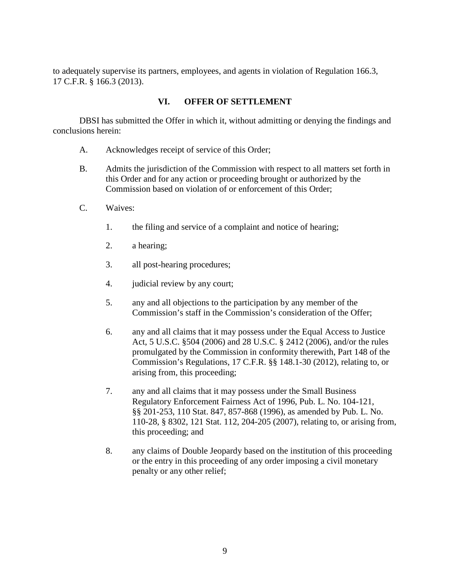to adequately supervise its partners, employees, and agents in violation of Regulation 166.3, 17 C.F.R. § 166.3 (2013).

## **VI. OFFER OF SETTLEMENT**

DBSI has submitted the Offer in which it, without admitting or denying the findings and conclusions herein:

- A. Acknowledges receipt of service of this Order;
- B. Admits the jurisdiction of the Commission with respect to all matters set forth in this Order and for any action or proceeding brought or authorized by the Commission based on violation of or enforcement of this Order;
- C. Waives:
	- 1. the filing and service of a complaint and notice of hearing;
	- 2. a hearing;
	- 3. all post-hearing procedures;
	- 4. judicial review by any court;
	- 5. any and all objections to the participation by any member of the Commission's staff in the Commission's consideration of the Offer;
	- 6. any and all claims that it may possess under the Equal Access to Justice Act, 5 U.S.C. §504 (2006) and 28 U.S.C. § 2412 (2006), and/or the rules promulgated by the Commission in conformity therewith, Part 148 of the Commission's Regulations, 17 C.F.R. §§ 148.1-30 (2012), relating to, or arising from, this proceeding;
	- 7. any and all claims that it may possess under the Small Business Regulatory Enforcement Fairness Act of 1996, Pub. L. No. 104-121, §§ 201-253, 110 Stat. 847, 857-868 (1996), as amended by Pub. L. No. 110-28, § 8302, 121 Stat. 112, 204-205 (2007), relating to, or arising from, this proceeding; and
	- 8. any claims of Double Jeopardy based on the institution of this proceeding or the entry in this proceeding of any order imposing a civil monetary penalty or any other relief;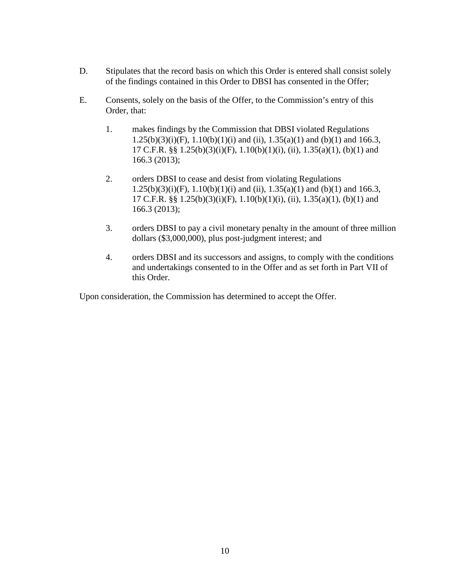- D. Stipulates that the record basis on which this Order is entered shall consist solely of the findings contained in this Order to DBSI has consented in the Offer;
- E. Consents, solely on the basis of the Offer, to the Commission's entry of this Order, that:
	- 1. makes findings by the Commission that DBSI violated Regulations  $1.25(b)(3)(i)(F)$ ,  $1.10(b)(1)(i)$  and (ii),  $1.35(a)(1)$  and (b)(1) and 166.3, 17 C.F.R. §§  $1.25(b)(3)(i)(F)$ ,  $1.10(b)(1)(i)$ , (ii),  $1.35(a)(1)$ , (b)(1) and 166.3 (2013);
	- 2. orders DBSI to cease and desist from violating Regulations  $1.25(b)(3)(i)(F)$ ,  $1.10(b)(1)(i)$  and (ii),  $1.35(a)(1)$  and (b)(1) and 166.3, 17 C.F.R. §§  $1.25(b)(3)(i)(F)$ ,  $1.10(b)(1)(i)$ , (ii),  $1.35(a)(1)$ , (b)(1) and 166.3 (2013);
	- 3. orders DBSI to pay a civil monetary penalty in the amount of three million dollars (\$3,000,000), plus post-judgment interest; and
	- 4. orders DBSI and its successors and assigns, to comply with the conditions and undertakings consented to in the Offer and as set forth in Part VII of this Order.

Upon consideration, the Commission has determined to accept the Offer.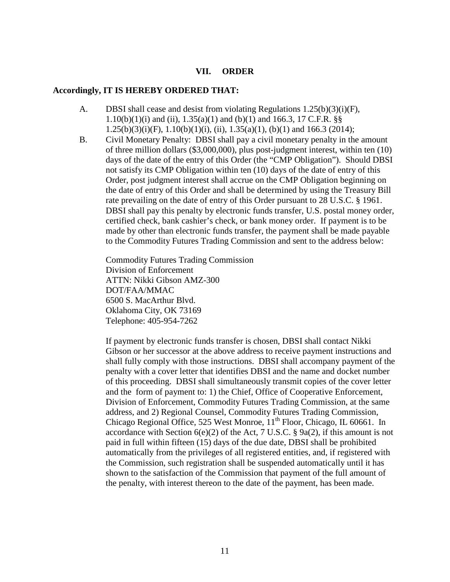#### **VII. ORDER**

#### **Accordingly, IT IS HEREBY ORDERED THAT:**

- A. DBSI shall cease and desist from violating Regulations 1.25(b)(3)(i)(F), 1.10(b)(1)(i) and (ii),  $1.35(a)(1)$  and (b)(1) and 166.3, 17 C.F.R. §§  $1.25(b)(3)(i)(F), 1.10(b)(1)(i), (ii), 1.35(a)(1), (b)(1)$  and 166.3 (2014);
- B. Civil Monetary Penalty: DBSI shall pay a civil monetary penalty in the amount of three million dollars (\$3,000,000), plus post-judgment interest, within ten (10) days of the date of the entry of this Order (the "CMP Obligation"). Should DBSI not satisfy its CMP Obligation within ten (10) days of the date of entry of this Order, post judgment interest shall accrue on the CMP Obligation beginning on the date of entry of this Order and shall be determined by using the Treasury Bill rate prevailing on the date of entry of this Order pursuant to 28 U.S.C. § 1961. DBSI shall pay this penalty by electronic funds transfer, U.S. postal money order, certified check, bank cashier's check, or bank money order. If payment is to be made by other than electronic funds transfer, the payment shall be made payable to the Commodity Futures Trading Commission and sent to the address below:

Commodity Futures Trading Commission Division of Enforcement ATTN: Nikki Gibson AMZ-300 DOT/FAA/MMAC 6500 S. MacArthur Blvd. Oklahoma City, OK 73169 Telephone: 405-954-7262

If payment by electronic funds transfer is chosen, DBSI shall contact Nikki Gibson or her successor at the above address to receive payment instructions and shall fully comply with those instructions. DBSI shall accompany payment of the penalty with a cover letter that identifies DBSI and the name and docket number of this proceeding. DBSI shall simultaneously transmit copies of the cover letter and the form of payment to: 1) the Chief, Office of Cooperative Enforcement, Division of Enforcement, Commodity Futures Trading Commission, at the same address, and 2) Regional Counsel, Commodity Futures Trading Commission, Chicago Regional Office, 525 West Monroe,  $11<sup>th</sup>$  Floor, Chicago, IL 60661. In accordance with Section  $6(e)(2)$  of the Act, 7 U.S.C. § 9a(2), if this amount is not paid in full within fifteen (15) days of the due date, DBSI shall be prohibited automatically from the privileges of all registered entities, and, if registered with the Commission, such registration shall be suspended automatically until it has shown to the satisfaction of the Commission that payment of the full amount of the penalty, with interest thereon to the date of the payment, has been made.